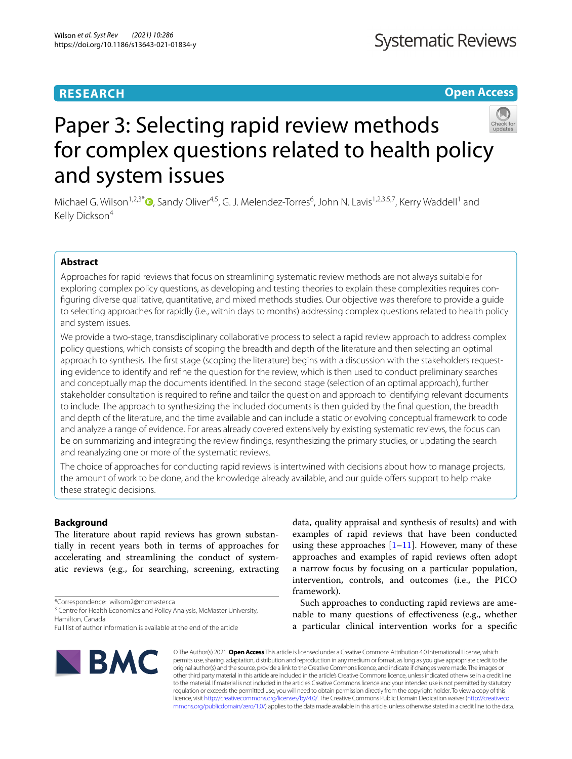# **RESEARCH**

**Open Access**

# Paper 3: Selecting rapid review methods for complex questions related to health policy and system issues

Michael G. Wilson<sup>1,2,3[\\*](http://orcid.org/0000-0002-5383-2471)</sup><sup>®</sup>, Sandy Oliver<sup>4,5</sup>, G. J. Melendez-Torres<sup>6</sup>, John N. Lavis<sup>1,2,3,5,7</sup>, Kerry Waddell<sup>1</sup> and Kelly Dickson<sup>4</sup>

# **Abstract**

Approaches for rapid reviews that focus on streamlining systematic review methods are not always suitable for exploring complex policy questions, as developing and testing theories to explain these complexities requires confguring diverse qualitative, quantitative, and mixed methods studies. Our objective was therefore to provide a guide to selecting approaches for rapidly (i.e., within days to months) addressing complex questions related to health policy and system issues.

We provide a two-stage, transdisciplinary collaborative process to select a rapid review approach to address complex policy questions, which consists of scoping the breadth and depth of the literature and then selecting an optimal approach to synthesis. The first stage (scoping the literature) begins with a discussion with the stakeholders requesting evidence to identify and refne the question for the review, which is then used to conduct preliminary searches and conceptually map the documents identifed. In the second stage (selection of an optimal approach), further stakeholder consultation is required to refne and tailor the question and approach to identifying relevant documents to include. The approach to synthesizing the included documents is then guided by the fnal question, the breadth and depth of the literature, and the time available and can include a static or evolving conceptual framework to code and analyze a range of evidence. For areas already covered extensively by existing systematic reviews, the focus can be on summarizing and integrating the review fndings, resynthesizing the primary studies, or updating the search and reanalyzing one or more of the systematic reviews.

The choice of approaches for conducting rapid reviews is intertwined with decisions about how to manage projects, the amount of work to be done, and the knowledge already available, and our guide offers support to help make these strategic decisions.

# **Background**

The literature about rapid reviews has grown substantially in recent years both in terms of approaches for accelerating and streamlining the conduct of systematic reviews (e.g., for searching, screening, extracting

\*Correspondence: wilsom2@mcmaster.ca

<sup>3</sup> Centre for Health Economics and Policy Analysis, McMaster University, Hamilton, Canada

Full list of author information is available at the end of the article



data, quality appraisal and synthesis of results) and with examples of rapid reviews that have been conducted using these approaches  $[1-11]$  $[1-11]$  $[1-11]$ . However, many of these approaches and examples of rapid reviews often adopt a narrow focus by focusing on a particular population, intervention, controls, and outcomes (i.e., the PICO framework).

Such approaches to conducting rapid reviews are amenable to many questions of efectiveness (e.g., whether a particular clinical intervention works for a specifc

© The Author(s) 2021. **Open Access** This article is licensed under a Creative Commons Attribution 4.0 International License, which permits use, sharing, adaptation, distribution and reproduction in any medium or format, as long as you give appropriate credit to the original author(s) and the source, provide a link to the Creative Commons licence, and indicate if changes were made. The images or other third party material in this article are included in the article's Creative Commons licence, unless indicated otherwise in a credit line to the material. If material is not included in the article's Creative Commons licence and your intended use is not permitted by statutory regulation or exceeds the permitted use, you will need to obtain permission directly from the copyright holder. To view a copy of this licence, visit [http://creativecommons.org/licenses/by/4.0/.](http://creativecommons.org/licenses/by/4.0/) The Creative Commons Public Domain Dedication waiver ([http://creativeco](http://creativecommons.org/publicdomain/zero/1.0/) [mmons.org/publicdomain/zero/1.0/](http://creativecommons.org/publicdomain/zero/1.0/)) applies to the data made available in this article, unless otherwise stated in a credit line to the data.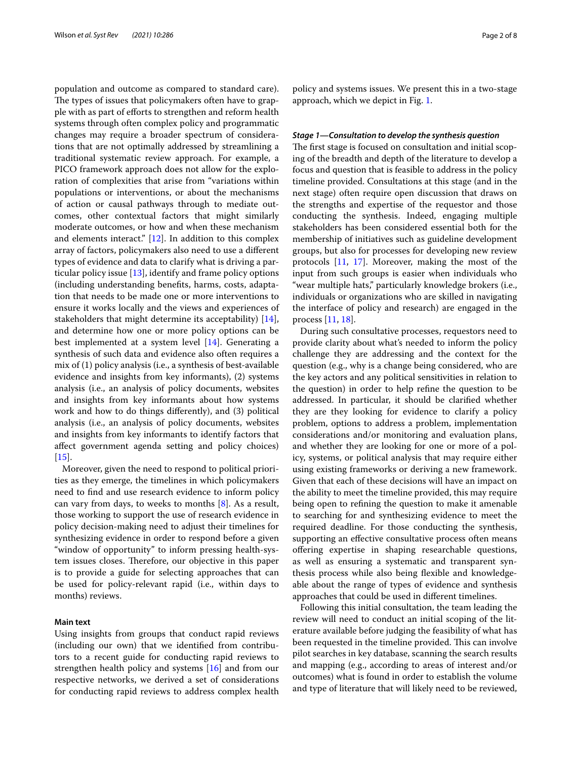population and outcome as compared to standard care). The types of issues that policymakers often have to grapple with as part of eforts to strengthen and reform health systems through often complex policy and programmatic changes may require a broader spectrum of considerations that are not optimally addressed by streamlining a traditional systematic review approach. For example, a PICO framework approach does not allow for the exploration of complexities that arise from "variations within populations or interventions, or about the mechanisms of action or causal pathways through to mediate outcomes, other contextual factors that might similarly moderate outcomes, or how and when these mechanism and elements interact." [[12\]](#page-7-1). In addition to this complex array of factors, policymakers also need to use a diferent types of evidence and data to clarify what is driving a particular policy issue  $[13]$ , identify and frame policy options (including understanding benefts, harms, costs, adaptation that needs to be made one or more interventions to ensure it works locally and the views and experiences of stakeholders that might determine its acceptability) [\[14](#page-7-3)], and determine how one or more policy options can be best implemented at a system level [\[14\]](#page-7-3). Generating a synthesis of such data and evidence also often requires a mix of (1) policy analysis (i.e., a synthesis of best-available evidence and insights from key informants), (2) systems analysis (i.e., an analysis of policy documents, websites and insights from key informants about how systems work and how to do things diferently), and (3) political analysis (i.e., an analysis of policy documents, websites and insights from key informants to identify factors that afect government agenda setting and policy choices)  $[15]$  $[15]$ .

Moreover, given the need to respond to political priorities as they emerge, the timelines in which policymakers need to fnd and use research evidence to inform policy can vary from days, to weeks to months [\[8\]](#page-7-5). As a result, those working to support the use of research evidence in policy decision-making need to adjust their timelines for synthesizing evidence in order to respond before a given "window of opportunity" to inform pressing health-system issues closes. Therefore, our objective in this paper is to provide a guide for selecting approaches that can be used for policy-relevant rapid (i.e., within days to months) reviews.

## **Main text**

Using insights from groups that conduct rapid reviews (including our own) that we identifed from contributors to a recent guide for conducting rapid reviews to strengthen health policy and systems [\[16\]](#page-7-6) and from our respective networks, we derived a set of considerations for conducting rapid reviews to address complex health

policy and systems issues. We present this in a two-stage approach, which we depict in Fig. [1](#page-2-0).

## *Stage 1—Consultation to develop the synthesis question*

The first stage is focused on consultation and initial scoping of the breadth and depth of the literature to develop a focus and question that is feasible to address in the policy timeline provided. Consultations at this stage (and in the next stage) often require open discussion that draws on the strengths and expertise of the requestor and those conducting the synthesis. Indeed, engaging multiple stakeholders has been considered essential both for the membership of initiatives such as guideline development groups, but also for processes for developing new review protocols [\[11,](#page-7-0) [17\]](#page-7-7). Moreover, making the most of the input from such groups is easier when individuals who "wear multiple hats," particularly knowledge brokers (i.e., individuals or organizations who are skilled in navigating the interface of policy and research) are engaged in the process [[11,](#page-7-0) [18](#page-7-8)].

During such consultative processes, requestors need to provide clarity about what's needed to inform the policy challenge they are addressing and the context for the question (e.g., why is a change being considered, who are the key actors and any political sensitivities in relation to the question) in order to help refne the question to be addressed. In particular, it should be clarifed whether they are they looking for evidence to clarify a policy problem, options to address a problem, implementation considerations and/or monitoring and evaluation plans, and whether they are looking for one or more of a policy, systems, or political analysis that may require either using existing frameworks or deriving a new framework. Given that each of these decisions will have an impact on the ability to meet the timeline provided, this may require being open to refning the question to make it amenable to searching for and synthesizing evidence to meet the required deadline. For those conducting the synthesis, supporting an efective consultative process often means ofering expertise in shaping researchable questions, as well as ensuring a systematic and transparent synthesis process while also being fexible and knowledgeable about the range of types of evidence and synthesis approaches that could be used in diferent timelines.

Following this initial consultation, the team leading the review will need to conduct an initial scoping of the literature available before judging the feasibility of what has been requested in the timeline provided. This can involve pilot searches in key database, scanning the search results and mapping (e.g., according to areas of interest and/or outcomes) what is found in order to establish the volume and type of literature that will likely need to be reviewed,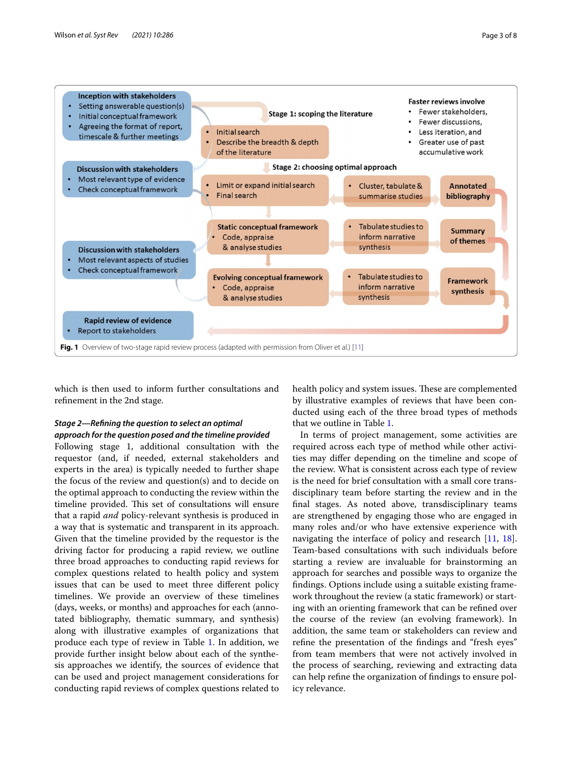

<span id="page-2-0"></span>which is then used to inform further consultations and refnement in the 2nd stage.

# *Stage 2—Refning the question to select an optimal approach for the question posed and the timeline provided*

Following stage 1, additional consultation with the requestor (and, if needed, external stakeholders and experts in the area) is typically needed to further shape the focus of the review and question(s) and to decide on the optimal approach to conducting the review within the timeline provided. This set of consultations will ensure that a rapid *and* policy-relevant synthesis is produced in a way that is systematic and transparent in its approach. Given that the timeline provided by the requestor is the driving factor for producing a rapid review, we outline three broad approaches to conducting rapid reviews for complex questions related to health policy and system issues that can be used to meet three diferent policy timelines. We provide an overview of these timelines (days, weeks, or months) and approaches for each (annotated bibliography, thematic summary, and synthesis) along with illustrative examples of organizations that produce each type of review in Table [1](#page-3-0). In addition, we provide further insight below about each of the synthesis approaches we identify, the sources of evidence that can be used and project management considerations for conducting rapid reviews of complex questions related to

health policy and system issues. These are complemented by illustrative examples of reviews that have been conducted using each of the three broad types of methods that we outline in Table [1.](#page-3-0)

In terms of project management, some activities are required across each type of method while other activities may difer depending on the timeline and scope of the review. What is consistent across each type of review is the need for brief consultation with a small core transdisciplinary team before starting the review and in the fnal stages. As noted above, transdisciplinary teams are strengthened by engaging those who are engaged in many roles and/or who have extensive experience with navigating the interface of policy and research [[11](#page-7-0), [18](#page-7-8)]. Team-based consultations with such individuals before starting a review are invaluable for brainstorming an approach for searches and possible ways to organize the fndings. Options include using a suitable existing framework throughout the review (a static framework) or starting with an orienting framework that can be refned over the course of the review (an evolving framework). In addition, the same team or stakeholders can review and refne the presentation of the fndings and "fresh eyes" from team members that were not actively involved in the process of searching, reviewing and extracting data can help refne the organization of fndings to ensure policy relevance.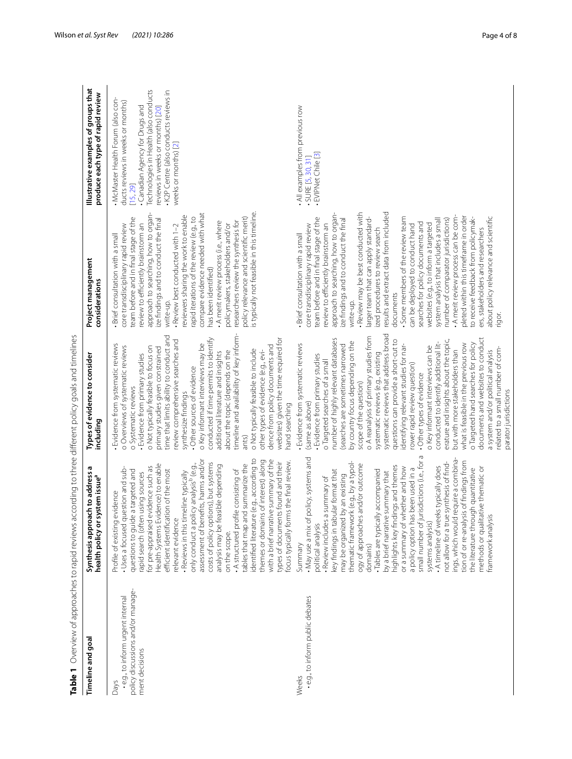<span id="page-3-0"></span>

| Timeline and goal                                                                               | ch to address<br>health policy or system issue <sup>a</sup><br>Synthesis approa                                                                                                                                                                                                                                                                                                                                                                                                                                                                                                                                                                                                                                                                                                                                                    | Types of evidence to consider<br>including                                                                                                                                                                                                                                                                                                                                                                                                                                                                                                                                                                                                                                                                                                                                                                                                                                                                               | Project management<br>considerations                                                                                                                                                                                                                                                                                                                                                                                                                                                                                                                                                                                                                                                                                                                                                                                                                                                | Illustrative examples of groups that<br>produce each type of rapid review                                                                                                                                                                                           |
|-------------------------------------------------------------------------------------------------|------------------------------------------------------------------------------------------------------------------------------------------------------------------------------------------------------------------------------------------------------------------------------------------------------------------------------------------------------------------------------------------------------------------------------------------------------------------------------------------------------------------------------------------------------------------------------------------------------------------------------------------------------------------------------------------------------------------------------------------------------------------------------------------------------------------------------------|--------------------------------------------------------------------------------------------------------------------------------------------------------------------------------------------------------------------------------------------------------------------------------------------------------------------------------------------------------------------------------------------------------------------------------------------------------------------------------------------------------------------------------------------------------------------------------------------------------------------------------------------------------------------------------------------------------------------------------------------------------------------------------------------------------------------------------------------------------------------------------------------------------------------------|-------------------------------------------------------------------------------------------------------------------------------------------------------------------------------------------------------------------------------------------------------------------------------------------------------------------------------------------------------------------------------------------------------------------------------------------------------------------------------------------------------------------------------------------------------------------------------------------------------------------------------------------------------------------------------------------------------------------------------------------------------------------------------------------------------------------------------------------------------------------------------------|---------------------------------------------------------------------------------------------------------------------------------------------------------------------------------------------------------------------------------------------------------------------|
| policy discussions and/or manage-<br>.e.g., to inform urgent internal<br>ment decisions<br>Days | (e.g., according to<br>assessment of benefits, harms and/or<br>themes or domains of interest) along<br>with a brief narrative summary of the<br>focus typically forms the final review.<br>types of documents found and their<br>costs of policy options), but systems<br>Health Systems Evidence) to enable<br>tables that map and summarize the<br>• Reviews in this timeline typically<br>only conduct a policy analysis <sup>b</sup> (e.g.,<br>analysis may be feasible depending<br>for pre-appraised evidence such as<br>Uses a focused question and sub-<br>efficient identification of the most<br>questions to guide a targeted and<br>. A structured profile consisting of<br>rapid search (often using sources<br>Profile of existing evidence<br>identified literature<br>relevant evidence<br>on the scope.           | timeline and availability of key inform-<br>time that limits ability to conduct and<br>websites) given the time required for<br>conducted if time permits to identify<br>review comprehensive searches and<br>- Evidence from systematic reviews<br>o Key informant interviews may be<br>dence from policy documents and<br>o Overviews of systematic reviews<br>o Not typically feasible to focus on<br>primary studies given constrained<br>o Not typically feasible to include<br>about the topic (depends on the<br>other types of evidence (e.g., evi-<br>additional literature and insights<br>- Evidence from primary studies<br>Other sources of evidence<br>o Systematic reviews<br>synthesize findings<br>hand searching<br>ants)                                                                                                                                                                              | is typically not feasible in this timeline.<br>approach to searching, how to organ-<br>compare evidence needed with what<br>reviewers sharing the work to enable<br>policy relevance and scientific merit)<br>team before and in final stage of the<br>rapid iterations of the review (e.g., to<br>ize findings and to conduct the final<br>researchers review the synthesis for<br>. A merit review process (i.e., where<br>review to efficiently brainstorm an<br>core transdisciplinary rapid review<br>- Review best conducted with 1-2<br>policymakers, stakeholders and/or<br>Brief consultation with a small<br>has been identified)<br>write-up.                                                                                                                                                                                                                            | Technologies in Health (also conducts<br>. K2P Centre (also conducts reviews in<br>. McMaster Health Forum (also con-<br>ducts reviews in weeks or months)<br>reviews in weeks or months) [20]<br>Canadian Agency for Drugs and<br>weeks or months) [2]<br>[15, 29] |
| · e.g., to inform public debates<br>Weeks                                                       | Б<br>policy, systems and<br>require a combina-<br>tion of or re-analysis of findings from<br>thematic framework (e.g., by a typol-<br>not allow for a true synthesis of find-<br>small number of jurisdictions (i.e., for<br>and/or outcome<br>highlights key findings and themes<br>. A timeline of weeks typically does<br>or a summary of whether and how<br>methods or qualitative thematic or<br>the literature through quantitative<br>been used in a<br>key findings in tabular format that<br>Tables are typically accompanied<br>summary that<br>may be organized by an existing<br>· Review includes a summary of<br>a policy option has<br>framework analysis<br>ogy of approaches<br>by a brief narrative<br>ings, which would<br>. May use a mix of<br>systems analysis)<br>political analysis<br>Summary<br>domains) | systematic reviews that address broad<br>o A reanalysis of primary studies from<br>documents and websites to conduct<br>number of highly relevant databases<br>questions can provide a short-cut to<br>erature and insights about the topic,<br>by country focus depending on the<br>o Targeted hand searches for policy<br>conducted to identify additional lit-<br>what is feasible in the previous row<br>Evidence from systematic reviews<br>identifying relevant studies for nar-<br>(searches are sometimes narrowed<br>o Key informant interviews can be<br>elated to a small number of com-<br>but with more stakeholders than<br>a system and/or political analysis<br>systematic reviews (e.g., existing<br>- Evidence from primary studies<br>o Targeted searches of a small<br>rower rapid review question)<br>Other types of evidence<br>scope of the question)<br>parator jurisdictions<br>(same as above) | . Review may be best conducted with<br>results and extract data from included<br>approach to searching, how to organ-<br>. A merit review process can be com-<br>pleted within this timeframe in order<br>about policy relevance and scientific<br>to receive feedback from policymak-<br>team before and in final stage of the<br>larger team that can apply standard-<br>Some members of the review team<br>number of comparator jurisdictions)<br>ize findings and to conduct the final<br>system analysis that includes a small<br>searches for policy documents and<br>review to efficiently brainstorm an<br>websites (e.g., to inform a targeted<br>core transdisciplinary rapid review<br>can be deployed to conduct hand<br>ers, stakeholders and researchers<br>ized procedures to review search<br>· Brief consultation with a small<br>documents<br>write-up.<br>rigor. | All examples from previous row<br>· EVIPNet Chile [3]<br>· SURE [5, 30, 31]                                                                                                                                                                                         |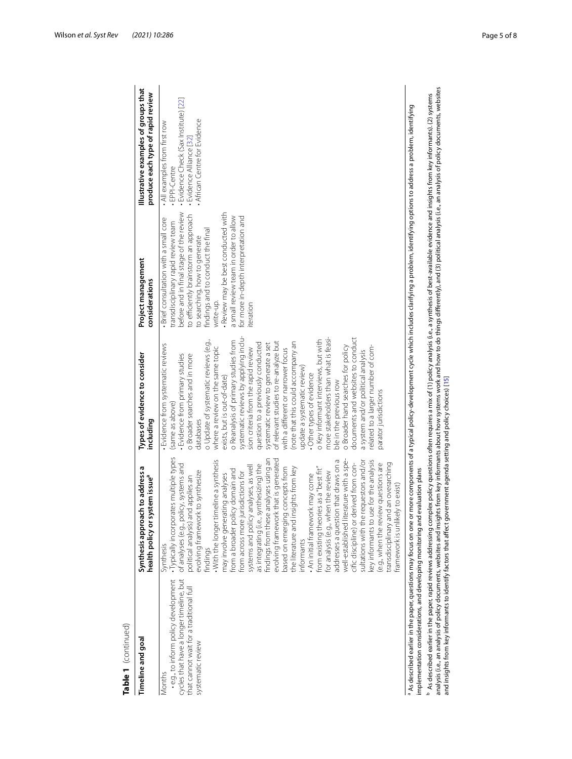| Timeline and goal                                                                                                                                         | Ø<br>ch to address<br>stem issue <sup>a</sup><br>health policy or sy<br>Synthesis approa                                                                                                                                                                                                                                                                                                                                                                                                                                                                                                                                                                                                                                                                                                                                                                                                                                                                                                                                                                                       | Types of evidence to consider<br>including                                                                                                                                                                                                                                                                                                                                                                                                                                                                                                                                                                                                                                                                                                                                                                                                                                                                                    | Project management<br>considerations                                                                                                                                                                                                                                                                                                                                                     | Illustrative examples of groups that<br>produce each type of rapid review                                                                          |
|-----------------------------------------------------------------------------------------------------------------------------------------------------------|--------------------------------------------------------------------------------------------------------------------------------------------------------------------------------------------------------------------------------------------------------------------------------------------------------------------------------------------------------------------------------------------------------------------------------------------------------------------------------------------------------------------------------------------------------------------------------------------------------------------------------------------------------------------------------------------------------------------------------------------------------------------------------------------------------------------------------------------------------------------------------------------------------------------------------------------------------------------------------------------------------------------------------------------------------------------------------|-------------------------------------------------------------------------------------------------------------------------------------------------------------------------------------------------------------------------------------------------------------------------------------------------------------------------------------------------------------------------------------------------------------------------------------------------------------------------------------------------------------------------------------------------------------------------------------------------------------------------------------------------------------------------------------------------------------------------------------------------------------------------------------------------------------------------------------------------------------------------------------------------------------------------------|------------------------------------------------------------------------------------------------------------------------------------------------------------------------------------------------------------------------------------------------------------------------------------------------------------------------------------------------------------------------------------------|----------------------------------------------------------------------------------------------------------------------------------------------------|
| cycles that have a longer timeline, but<br>· e.g., to inform policy development<br>that cannot wait for a traditional full<br>systematic review<br>Months | ates multiple types<br>findings from these analyses using an<br>evolving framework that is generated<br>well-established literature with a spe-<br>Б<br>With the longer timeline a synthesis<br>key informants to use for the analysis<br>sultations with the requestors and/or<br>transdisciplinary and an overarching<br>cific discipline) or derived from con-<br>e.g., when the review questions are<br>of analyses (e.g., policy, systems and<br>as integrating (i.e., synthesizing) the<br>addresses a question that draws on<br>analyses, as well<br>from existing theories as a "best fit"<br>based on emerging concepts from<br>the literature and insights from key<br>icy domain and<br>evolving framework to synthesize<br>for analysis (e.g., when the review<br>urisdictions for<br>. An initial framework may come<br>may involve generating analyses<br>political analysis) and applies an<br>framework is unlikely to exist)<br>systems and policy<br>· Typically incorpor<br>from a broader pol<br>from across more j<br>informants<br>Synthesis<br>findings | systematic reviews by applying inclu-<br>documents and websites to conduct<br>more stakeholders than what is feasi-<br>o Key informant interviews, but with<br>o Update of systematic reviews (e.g.,<br>o Reanalysis of primary studies from<br>of relevant studies to re-analyze but<br>(note that this could accompany an<br>question to a previously conducted<br>systematic review to generate a set<br>Evidence from systematic reviews<br>o Broader hand searches for policy<br>elated to a larger number of com-<br>where a review on the same topic<br>sion criteria from the rapid review<br>with a different or narrower focus<br>a system and/or political analysis<br>Evidence from primary studies<br>o Broader searches and in more<br>update a systematic review)<br>Other types of evidence<br>exists, but is out-of-date)<br>ble in the previous row<br>parator jurisdictions<br>same as above)<br>databases | before and in final stage of the review<br>- Review may be best conducted with<br>to efficiently brainstorm an approach<br>a small review team in order to allow<br>for more in-depth interpretation and<br>- Brief consultation with a small core<br>transdisciplinary rapid review team<br>findings and to conduct the final<br>to searching, how to generate<br>write-up.<br>teration | - Evidence Check (Sax Institute) [22]<br>African Centre for Evidence<br>. All examples from first row<br>- Evidence Alliance [32]<br>· EPPI-Centre |
| mplementation considerations, and developing monitoring and evaluation plans<br>As described earlier in the paper, questions may focus on one or          |                                                                                                                                                                                                                                                                                                                                                                                                                                                                                                                                                                                                                                                                                                                                                                                                                                                                                                                                                                                                                                                                                |                                                                                                                                                                                                                                                                                                                                                                                                                                                                                                                                                                                                                                                                                                                                                                                                                                                                                                                               | r more components of a typical policy-development cycle which includes clarifying a problem, identifying options to address a problem, identifying                                                                                                                                                                                                                                       |                                                                                                                                                    |
|                                                                                                                                                           | analysis (i.e., an analysis of policy documents, websites and insights from key informants about how systems work and how to do things differently), and (3) political analysis (i.e., an analysis of policy documents, websit<br>As described earlier in the paper, rapid reviews addressing complex policy questions often requires a mix of (1) policy analysis (i.e., a synthesis of best-available evidence and insights from key informants). (2) systems<br>and insights from key informants to identify factors that affect government agenda setting and policy choices) [15]                                                                                                                                                                                                                                                                                                                                                                                                                                                                                         |                                                                                                                                                                                                                                                                                                                                                                                                                                                                                                                                                                                                                                                                                                                                                                                                                                                                                                                               |                                                                                                                                                                                                                                                                                                                                                                                          |                                                                                                                                                    |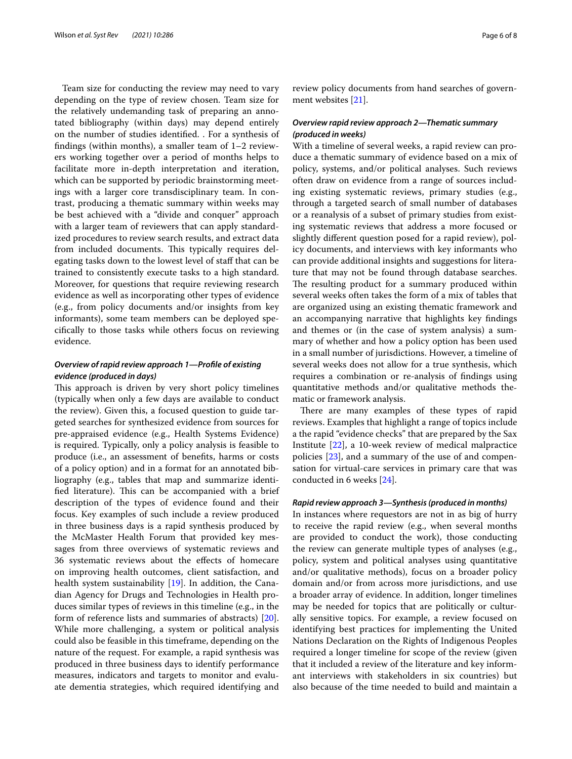Team size for conducting the review may need to vary depending on the type of review chosen. Team size for the relatively undemanding task of preparing an annotated bibliography (within days) may depend entirely on the number of studies identifed. . For a synthesis of fndings (within months), a smaller team of 1–2 reviewers working together over a period of months helps to facilitate more in-depth interpretation and iteration, which can be supported by periodic brainstorming meetings with a larger core transdisciplinary team. In contrast, producing a thematic summary within weeks may be best achieved with a "divide and conquer" approach with a larger team of reviewers that can apply standardized procedures to review search results, and extract data from included documents. This typically requires delegating tasks down to the lowest level of staff that can be trained to consistently execute tasks to a high standard. Moreover, for questions that require reviewing research evidence as well as incorporating other types of evidence (e.g., from policy documents and/or insights from key informants), some team members can be deployed specifcally to those tasks while others focus on reviewing evidence.

# *Overview of rapid review approach 1—Profle of existing evidence (produced in days)*

This approach is driven by very short policy timelines (typically when only a few days are available to conduct the review). Given this, a focused question to guide targeted searches for synthesized evidence from sources for pre-appraised evidence (e.g., Health Systems Evidence) is required. Typically, only a policy analysis is feasible to produce (i.e., an assessment of benefts, harms or costs of a policy option) and in a format for an annotated bibliography (e.g., tables that map and summarize identified literature). This can be accompanied with a brief description of the types of evidence found and their focus. Key examples of such include a review produced in three business days is a rapid synthesis produced by the McMaster Health Forum that provided key messages from three overviews of systematic reviews and 36 systematic reviews about the efects of homecare on improving health outcomes, client satisfaction, and health system sustainability [\[19\]](#page-7-16). In addition, the Canadian Agency for Drugs and Technologies in Health produces similar types of reviews in this timeline (e.g., in the form of reference lists and summaries of abstracts) [\[20](#page-7-10)]. While more challenging, a system or political analysis could also be feasible in this timeframe, depending on the nature of the request. For example, a rapid synthesis was produced in three business days to identify performance measures, indicators and targets to monitor and evaluate dementia strategies, which required identifying and review policy documents from hand searches of government websites [\[21](#page-7-17)].

# *Overview rapid review approach 2—Thematic summary (produced in weeks)*

With a timeline of several weeks, a rapid review can produce a thematic summary of evidence based on a mix of policy, systems, and/or political analyses. Such reviews often draw on evidence from a range of sources including existing systematic reviews, primary studies (e.g., through a targeted search of small number of databases or a reanalysis of a subset of primary studies from existing systematic reviews that address a more focused or slightly diferent question posed for a rapid review), policy documents, and interviews with key informants who can provide additional insights and suggestions for literature that may not be found through database searches. The resulting product for a summary produced within several weeks often takes the form of a mix of tables that are organized using an existing thematic framework and an accompanying narrative that highlights key fndings and themes or (in the case of system analysis) a summary of whether and how a policy option has been used in a small number of jurisdictions. However, a timeline of several weeks does not allow for a true synthesis, which requires a combination or re-analysis of fndings using quantitative methods and/or qualitative methods thematic or framework analysis.

There are many examples of these types of rapid reviews. Examples that highlight a range of topics include a the rapid "evidence checks" that are prepared by the Sax Institute [\[22](#page-7-14)], a 10-week review of medical malpractice policies [\[23](#page-7-18)], and a summary of the use of and compensation for virtual-care services in primary care that was conducted in 6 weeks [\[24\]](#page-7-19).

## *Rapid review approach 3—Synthesis (produced in months)*

In instances where requestors are not in as big of hurry to receive the rapid review (e.g., when several months are provided to conduct the work), those conducting the review can generate multiple types of analyses (e.g., policy, system and political analyses using quantitative and/or qualitative methods), focus on a broader policy domain and/or from across more jurisdictions, and use a broader array of evidence. In addition, longer timelines may be needed for topics that are politically or culturally sensitive topics. For example, a review focused on identifying best practices for implementing the United Nations Declaration on the Rights of Indigenous Peoples required a longer timeline for scope of the review (given that it included a review of the literature and key informant interviews with stakeholders in six countries) but also because of the time needed to build and maintain a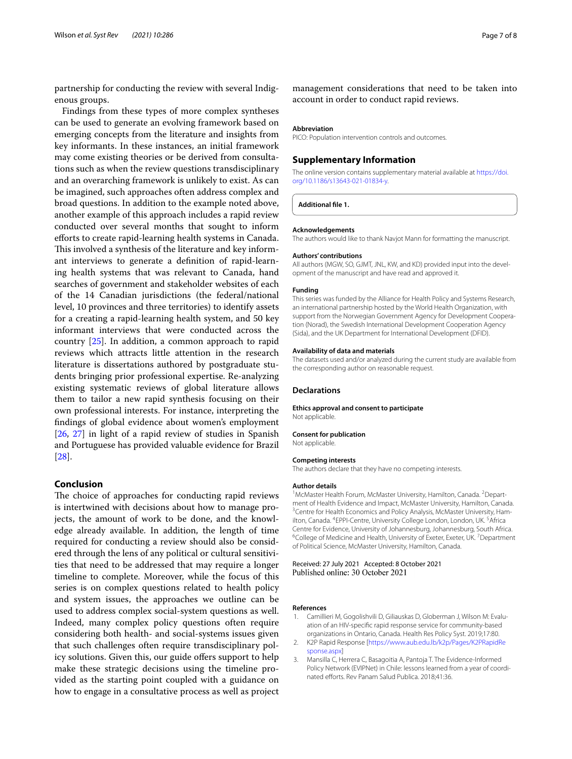partnership for conducting the review with several Indigenous groups.

Findings from these types of more complex syntheses can be used to generate an evolving framework based on emerging concepts from the literature and insights from key informants. In these instances, an initial framework may come existing theories or be derived from consultations such as when the review questions transdisciplinary and an overarching framework is unlikely to exist. As can be imagined, such approaches often address complex and broad questions. In addition to the example noted above, another example of this approach includes a rapid review conducted over several months that sought to inform efforts to create rapid-learning health systems in Canada. This involved a synthesis of the literature and key informant interviews to generate a defnition of rapid-learning health systems that was relevant to Canada, hand searches of government and stakeholder websites of each of the 14 Canadian jurisdictions (the federal/national level, 10 provinces and three territories) to identify assets for a creating a rapid-learning health system, and 50 key informant interviews that were conducted across the country [[25](#page-7-20)]. In addition, a common approach to rapid reviews which attracts little attention in the research literature is dissertations authored by postgraduate students bringing prior professional expertise. Re-analyzing existing systematic reviews of global literature allows them to tailor a new rapid synthesis focusing on their own professional interests. For instance, interpreting the fndings of global evidence about women's employment [[26,](#page-7-21) [27\]](#page-7-22) in light of a rapid review of studies in Spanish and Portuguese has provided valuable evidence for Brazil [[28\]](#page-7-23).

# **Conclusion**

The choice of approaches for conducting rapid reviews is intertwined with decisions about how to manage projects, the amount of work to be done, and the knowledge already available. In addition, the length of time required for conducting a review should also be considered through the lens of any political or cultural sensitivities that need to be addressed that may require a longer timeline to complete. Moreover, while the focus of this series is on complex questions related to health policy and system issues, the approaches we outline can be used to address complex social-system questions as well. Indeed, many complex policy questions often require considering both health- and social-systems issues given that such challenges often require transdisciplinary policy solutions. Given this, our guide offers support to help make these strategic decisions using the timeline provided as the starting point coupled with a guidance on how to engage in a consultative process as well as project

management considerations that need to be taken into account in order to conduct rapid reviews.

#### **Abbreviation**

PICO: Population intervention controls and outcomes.

## **Supplementary Information**

The online version contains supplementary material available at [https://doi.](https://doi.org/10.1186/s13643-021-01834-y) [org/10.1186/s13643-021-01834-y.](https://doi.org/10.1186/s13643-021-01834-y)

**Additional fle 1.**

#### **Acknowledgements**

The authors would like to thank Navjot Mann for formatting the manuscript.

#### **Authors' contributions**

All authors (MGW, SO, GJMT, JNL, KW, and KD) provided input into the development of the manuscript and have read and approved it.

#### **Funding**

This series was funded by the Alliance for Health Policy and Systems Research, an international partnership hosted by the World Health Organization, with support from the Norwegian Government Agency for Development Cooperation (Norad), the Swedish International Development Cooperation Agency (Sida), and the UK Department for International Development (DFID).

#### **Availability of data and materials**

The datasets used and/or analyzed during the current study are available from the corresponding author on reasonable request.

#### **Declarations**

**Ethics approval and consent to participate** Not applicable.

#### **Consent for publication**

Not applicable.

#### **Competing interests**

The authors declare that they have no competing interests.

#### **Author details**

<sup>1</sup> McMaster Health Forum, McMaster University, Hamilton, Canada. <sup>2</sup> Department of Health Evidence and Impact, McMaster University, Hamilton, Canada. 3 <sup>3</sup> Centre for Health Economics and Policy Analysis, McMaster University, Hamilton, Canada. <sup>4</sup> EPPI-Centre, University College London, London, UK. <sup>5</sup> Africa Centre for Evidence, University of Johannesburg, Johannesburg, South Africa. 6 College of Medicine and Health, University of Exeter, Exeter, UK.<sup>7</sup> Department of Political Science, McMaster University, Hamilton, Canada.

Received: 27 July 2021 Accepted: 8 October 2021 Published online: 30 October 2021

#### **References**

- <span id="page-6-0"></span>Camillieri M, Gogolishvili D, Giliauskas D, Globerman J, Wilson M: Evaluation of an HIV-specifc rapid response service for community-based organizations in Ontario, Canada. Health Res Policy Syst. 2019;17:80.
- <span id="page-6-1"></span>2. K2P Rapid Response [[https://www.aub.edu.lb/k2p/Pages/K2PRapidRe](https://www.aub.edu.lb/k2p/Pages/K2PRapidResponse.aspx) [sponse.aspx\]](https://www.aub.edu.lb/k2p/Pages/K2PRapidResponse.aspx)
- <span id="page-6-2"></span>3. Mansilla C, Herrera C, Basagoitia A, Pantoja T. The Evidence-Informed Policy Network (EVIPNet) in Chile: lessons learned from a year of coordinated efforts. Rev Panam Salud Publica. 2018;41:36.